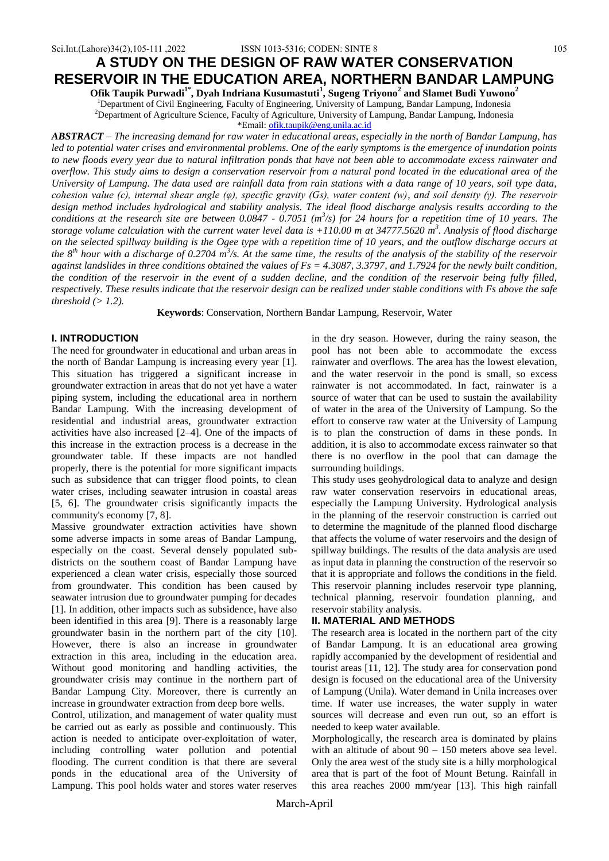# **A STUDY ON THE DESIGN OF RAW WATER CONSERVATION RESERVOIR IN THE EDUCATION AREA, NORTHERN BANDAR LAMPUNG**

**Ofik Taupik Purwadi1\*, Dyah Indriana Kusumastuti<sup>1</sup> , Sugeng Triyono<sup>2</sup> and Slamet Budi Yuwono<sup>2</sup>**

<sup>1</sup>Department of Civil Engineering, Faculty of Engineering, University of Lampung, Bandar Lampung, Indonesia <sup>2</sup>Department of Agriculture Science, Faculty of Agriculture, University of Lampung, Bandar Lampung, Indonesia

\*Email: [ofik.taupik@eng.unila.ac.id](mailto:ofik.taupik@eng.unila.ac.id)

*ABSTRACT – The increasing demand for raw water in educational areas, especially in the north of Bandar Lampung, has led to potential water crises and environmental problems. One of the early symptoms is the emergence of inundation points to new floods every year due to natural infiltration ponds that have not been able to accommodate excess rainwater and overflow. This study aims to design a conservation reservoir from a natural pond located in the educational area of the University of Lampung. The data used are rainfall data from rain stations with a data range of 10 years, soil type data, cohesion value (c), internal shear angle (φ), specific gravity (Gs), water content (w), and soil density (γ). The reservoir design method includes hydrological and stability analysis. The ideal flood discharge analysis results according to the*  conditions at the research site are between 0.0847 - 0.7051 (m<sup>3</sup>/s) for 24 hours for a repetition time of 10 years. The *storage volume calculation with the current water level data is +110.00 m at 34777.5620 m<sup>3</sup> . Analysis of flood discharge on the selected spillway building is the Ogee type with a repetition time of 10 years, and the outflow discharge occurs at the 8th hour with a discharge of 0.2704 m<sup>3</sup> /s. At the same time, the results of the analysis of the stability of the reservoir against landslides in three conditions obtained the values of Fs = 4.3087, 3.3797, and 1.7924 for the newly built condition, the condition of the reservoir in the event of a sudden decline, and the condition of the reservoir being fully filled, respectively. These results indicate that the reservoir design can be realized under stable conditions with Fs above the safe threshold (> 1.2).*

**Keywords**: Conservation, Northern Bandar Lampung, Reservoir, Water

### **I. INTRODUCTION**

The need for groundwater in educational and urban areas in the north of Bandar Lampung is increasing every year [1]. This situation has triggered a significant increase in groundwater extraction in areas that do not yet have a water piping system, including the educational area in northern Bandar Lampung. With the increasing development of residential and industrial areas, groundwater extraction activities have also increased [2–4]. One of the impacts of this increase in the extraction process is a decrease in the groundwater table. If these impacts are not handled properly, there is the potential for more significant impacts such as subsidence that can trigger flood points, to clean water crises, including seawater intrusion in coastal areas [5, 6]. The groundwater crisis significantly impacts the community's economy [7, 8].

Massive groundwater extraction activities have shown some adverse impacts in some areas of Bandar Lampung, especially on the coast. Several densely populated subdistricts on the southern coast of Bandar Lampung have experienced a clean water crisis, especially those sourced from groundwater. This condition has been caused by seawater intrusion due to groundwater pumping for decades [1]. In addition, other impacts such as subsidence, have also been identified in this area [9]. There is a reasonably large groundwater basin in the northern part of the city [10]. However, there is also an increase in groundwater extraction in this area, including in the education area. Without good monitoring and handling activities, the groundwater crisis may continue in the northern part of Bandar Lampung City. Moreover, there is currently an increase in groundwater extraction from deep bore wells.

Control, utilization, and management of water quality must be carried out as early as possible and continuously. This action is needed to anticipate over-exploitation of water, including controlling water pollution and potential flooding. The current condition is that there are several ponds in the educational area of the University of Lampung. This pool holds water and stores water reserves in the dry season. However, during the rainy season, the pool has not been able to accommodate the excess rainwater and overflows. The area has the lowest elevation, and the water reservoir in the pond is small, so excess rainwater is not accommodated. In fact, rainwater is a source of water that can be used to sustain the availability of water in the area of the University of Lampung. So the effort to conserve raw water at the University of Lampung is to plan the construction of dams in these ponds. In addition, it is also to accommodate excess rainwater so that there is no overflow in the pool that can damage the surrounding buildings.

This study uses geohydrological data to analyze and design raw water conservation reservoirs in educational areas, especially the Lampung University. Hydrological analysis in the planning of the reservoir construction is carried out to determine the magnitude of the planned flood discharge that affects the volume of water reservoirs and the design of spillway buildings. The results of the data analysis are used as input data in planning the construction of the reservoir so that it is appropriate and follows the conditions in the field. This reservoir planning includes reservoir type planning, technical planning, reservoir foundation planning, and reservoir stability analysis.

# **II. MATERIAL AND METHODS**

The research area is located in the northern part of the city of Bandar Lampung. It is an educational area growing rapidly accompanied by the development of residential and tourist areas [11, 12]. The study area for conservation pond design is focused on the educational area of the University of Lampung (Unila). Water demand in Unila increases over time. If water use increases, the water supply in water sources will decrease and even run out, so an effort is needed to keep water available.

Morphologically, the research area is dominated by plains with an altitude of about 90 – 150 meters above sea level. Only the area west of the study site is a hilly morphological area that is part of the foot of Mount Betung. Rainfall in this area reaches 2000 mm/year [13]. This high rainfall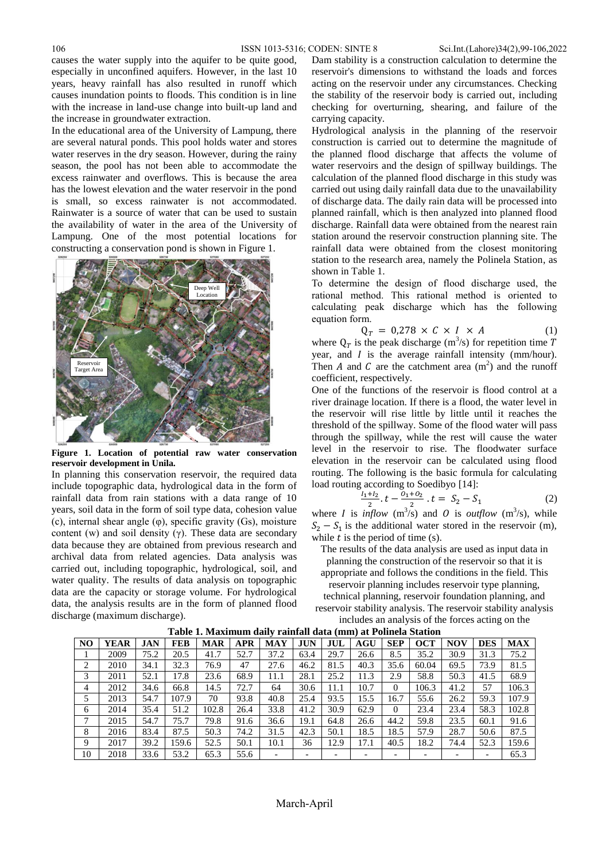causes the water supply into the aquifer to be quite good, especially in unconfined aquifers. However, in the last 10 years, heavy rainfall has also resulted in runoff which causes inundation points to floods. This condition is in line with the increase in land-use change into built-up land and the increase in groundwater extraction.

In the educational area of the University of Lampung, there are several natural ponds. This pool holds water and stores water reserves in the dry season. However, during the rainy season, the pool has not been able to accommodate the excess rainwater and overflows. This is because the area has the lowest elevation and the water reservoir in the pond is small, so excess rainwater is not accommodated. Rainwater is a source of water that can be used to sustain the availability of water in the area of the University of Lampung. One of the most potential locations for constructing a conservation pond is shown in Figure 1.



**Figure 1. Location of potential raw water conservation reservoir development in Unila.**

In planning this conservation reservoir, the required data include topographic data, hydrological data in the form of rainfall data from rain stations with a data range of 10 years, soil data in the form of soil type data, cohesion value (c), internal shear angle (φ), specific gravity (Gs), moisture content (w) and soil density (γ). These data are secondary data because they are obtained from previous research and archival data from related agencies. Data analysis was carried out, including topographic, hydrological, soil, and water quality. The results of data analysis on topographic data are the capacity or storage volume. For hydrological data, the analysis results are in the form of planned flood discharge (maximum discharge).

Dam stability is a construction calculation to determine the reservoir's dimensions to withstand the loads and forces acting on the reservoir under any circumstances. Checking the stability of the reservoir body is carried out, including checking for overturning, shearing, and failure of the carrying capacity.

Hydrological analysis in the planning of the reservoir construction is carried out to determine the magnitude of the planned flood discharge that affects the volume of water reservoirs and the design of spillway buildings. The calculation of the planned flood discharge in this study was carried out using daily rainfall data due to the unavailability of discharge data. The daily rain data will be processed into planned rainfall, which is then analyzed into planned flood discharge. Rainfall data were obtained from the nearest rain station around the reservoir construction planning site. The rainfall data were obtained from the closest monitoring station to the research area, namely the Polinela Station, as shown in Table 1.

To determine the design of flood discharge used, the rational method. This rational method is oriented to calculating peak discharge which has the following equation form.

$$
Q_T = 0.278 \times C \times I \times A \tag{1}
$$

where  $Q_T$  is the peak discharge (m<sup>3</sup>/s) for repetition time year, and  $I$  is the average rainfall intensity (mm/hour). Then A and C are the catchment area  $(m^2)$  and the runoff coefficient, respectively.

One of the functions of the reservoir is flood control at a river drainage location. If there is a flood, the water level in the reservoir will rise little by little until it reaches the threshold of the spillway. Some of the flood water will pass through the spillway, while the rest will cause the water level in the reservoir to rise. The floodwater surface elevation in the reservoir can be calculated using flood routing. The following is the basic formula for calculating load routing according to Soedibyo [14]:

$$
\frac{I_1 + I_2}{2} \cdot t - \frac{O_1 + O_2}{2} \cdot t = S_2 - S_1 \tag{2}
$$

where *I* is *inflow* ( $m^3$ /s) and *O* is *outflow* ( $m^3$ /s), while  $S_2 - S_1$  is the additional water stored in the reservoir (m), while  $t$  is the period of time (s).

The results of the data analysis are used as input data in planning the construction of the reservoir so that it is appropriate and follows the conditions in the field. This reservoir planning includes reservoir type planning, technical planning, reservoir foundation planning, and reservoir stability analysis. The reservoir stability analysis includes an analysis of the forces acting on the

| NO | YEAR | <b>JAN</b> | <b>FEB</b> | <b>MAR</b> | <b>APR</b> | <b>MAY</b> | <b>JUN</b> | JUL  | AGU  | <b>SEP</b> | <b>OCT</b> | NOV  | <b>DES</b> | <b>MAX</b> |
|----|------|------------|------------|------------|------------|------------|------------|------|------|------------|------------|------|------------|------------|
|    | 2009 | 75.2       | 20.5       | 41.7       | 52.7       | 37.2       | 63.4       | 29.7 | 26.6 | 8.5        | 35.2       | 30.9 | 31.3       | 75.2       |
| 2  | 2010 | 34.1       | 32.3       | 76.9       | 47         | 27.6       | 46.2       | 81.5 | 40.3 | 35.6       | 60.04      | 69.5 | 73.9       | 81.5       |
| 3  | 2011 | 52.1       | 17.8       | 23.6       | 68.9       | 11.1       | 28.1       | 25.2 | 11.3 | 2.9        | 58.8       | 50.3 | 41.5       | 68.9       |
| 4  | 2012 | 34.6       | 66.8       | 14.5       | 72.7       | 64         | 30.6       | 11.1 | 10.7 | 0          | 106.3      | 41.2 | 57         | 106.3      |
| 5. | 2013 | 54.7       | 107.9      | 70         | 93.8       | 40.8       | 25.4       | 93.5 | 15.5 | 16.7       | 55.6       | 26.2 | 59.3       | 107.9      |
| 6  | 2014 | 35.4       | 51.2       | 102.8      | 26.4       | 33.8       | 41.2       | 30.9 | 62.9 | $\Omega$   | 23.4       | 23.4 | 58.3       | 102.8      |
| 7  | 2015 | 54.7       | 75.7       | 79.8       | 91.6       | 36.6       | 19.1       | 64.8 | 26.6 | 44.2       | 59.8       | 23.5 | 60.1       | 91.6       |
| 8  | 2016 | 83.4       | 87.5       | 50.3       | 74.2       | 31.5       | 42.3       | 50.1 | 18.5 | 18.5       | 57.9       | 28.7 | 50.6       | 87.5       |
| 9  | 2017 | 39.2       | 159.6      | 52.5       | 50.1       | 10.1       | 36         | 12.9 | 17.1 | 40.5       | 18.2       | 74.4 | 52.3       | 159.6      |
| 10 | 2018 | 33.6       | 53.2       | 65.3       | 55.6       |            |            |      |      |            |            |      |            | 65.3       |

**Table 1. Maximum daily rainfall data (mm) at Polinela Station**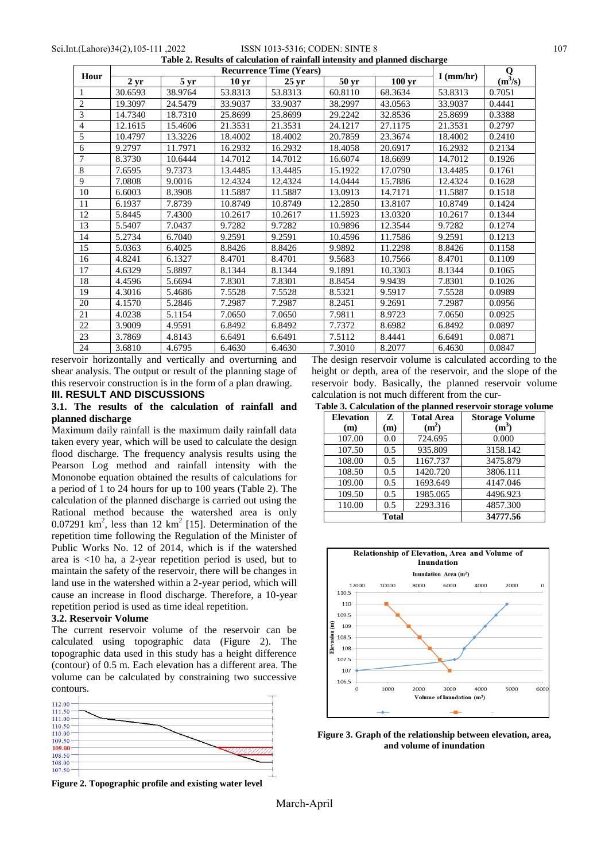Sci.Int.(Lahore)34(2),105-111 ,2022 ISSN 1013-5316; CODEN: SINTE 8 107 **Table 2. Results of calculation of rainfall intensity and planned discharge**

|                |              |                 |                  | $\mathbf 0$      |         |                     |             |           |
|----------------|--------------|-----------------|------------------|------------------|---------|---------------------|-------------|-----------|
| Hour           | $2 \,\rm yr$ | 5 <sub>yr</sub> | 10 <sub>yr</sub> | 25 <sub>yr</sub> | 50 yr   | $100 \,\mathrm{yr}$ | $I$ (mm/hr) | $(m^3/s)$ |
| 1              | 30.6593      | 38.9764         | 53.8313          | 53.8313          | 60.8110 | 68.3634             | 53.8313     | 0.7051    |
| $\overline{2}$ | 19.3097      | 24.5479         | 33.9037          | 33.9037          | 38.2997 | 43.0563             | 33.9037     | 0.4441    |
| 3              | 14.7340      | 18.7310         | 25.8699          | 25.8699          | 29.2242 | 32.8536             | 25.8699     | 0.3388    |
| $\overline{4}$ | 12.1615      | 15.4606         | 21.3531          | 21.3531          | 24.1217 | 27.1175             | 21.3531     | 0.2797    |
| 5              | 10.4797      | 13.3226         | 18.4002          | 18.4002          | 20.7859 | 23.3674             | 18.4002     | 0.2410    |
| 6              | 9.2797       | 11.7971         | 16.2932          | 16.2932          | 18.4058 | 20.6917             | 16.2932     | 0.2134    |
| 7              | 8.3730       | 10.6444         | 14.7012          | 14.7012          | 16.6074 | 18.6699             | 14.7012     | 0.1926    |
| $\,8\,$        | 7.6595       | 9.7373          | 13.4485          | 13.4485          | 15.1922 | 17.0790             | 13.4485     | 0.1761    |
| 9              | 7.0808       | 9.0016          | 12.4324          | 12.4324          | 14.0444 | 15.7886             | 12.4324     | 0.1628    |
| 10             | 6.6003       | 8.3908          | 11.5887          | 11.5887          | 13.0913 | 14.7171             | 11.5887     | 0.1518    |
| 11             | 6.1937       | 7.8739          | 10.8749          | 10.8749          | 12.2850 | 13.8107             | 10.8749     | 0.1424    |
| 12             | 5.8445       | 7.4300          | 10.2617          | 10.2617          | 11.5923 | 13.0320             | 10.2617     | 0.1344    |
| 13             | 5.5407       | 7.0437          | 9.7282           | 9.7282           | 10.9896 | 12.3544             | 9.7282      | 0.1274    |
| 14             | 5.2734       | 6.7040          | 9.2591           | 9.2591           | 10.4596 | 11.7586             | 9.2591      | 0.1213    |
| 15             | 5.0363       | 6.4025          | 8.8426           | 8.8426           | 9.9892  | 11.2298             | 8.8426      | 0.1158    |
| 16             | 4.8241       | 6.1327          | 8.4701           | 8.4701           | 9.5683  | 10.7566             | 8.4701      | 0.1109    |
| 17             | 4.6329       | 5.8897          | 8.1344           | 8.1344           | 9.1891  | 10.3303             | 8.1344      | 0.1065    |
| 18             | 4.4596       | 5.6694          | 7.8301           | 7.8301           | 8.8454  | 9.9439              | 7.8301      | 0.1026    |
| 19             | 4.3016       | 5.4686          | 7.5528           | 7.5528           | 8.5321  | 9.5917              | 7.5528      | 0.0989    |
| 20             | 4.1570       | 5.2846          | 7.2987           | 7.2987           | 8.2451  | 9.2691              | 7.2987      | 0.0956    |
| 21             | 4.0238       | 5.1154          | 7.0650           | 7.0650           | 7.9811  | 8.9723              | 7.0650      | 0.0925    |
| 22             | 3.9009       | 4.9591          | 6.8492           | 6.8492           | 7.7372  | 8.6982              | 6.8492      | 0.0897    |
| 23             | 3.7869       | 4.8143          | 6.6491           | 6.6491           | 7.5112  | 8.4441              | 6.6491      | 0.0871    |
| 24             | 3.6810       | 4.6795          | 6.4630           | 6.4630           | 7.3010  | 8.2077              | 6.4630      | 0.0847    |

reservoir horizontally and vertically and overturning and shear analysis. The output or result of the planning stage of this reservoir construction is in the form of a plan drawing. **III. RESULT AND DISCUSSIONS**

# **3.1. The results of the calculation of rainfall and planned discharge**

Maximum daily rainfall is the maximum daily rainfall data taken every year, which will be used to calculate the design flood discharge. The frequency analysis results using the Pearson Log method and rainfall intensity with the Mononobe equation obtained the results of calculations for a period of 1 to 24 hours for up to 100 years (Table 2). The calculation of the planned discharge is carried out using the Rational method because the watershed area is only 0.07291  $km^2$ , less than 12  $km^2$  [15]. Determination of the repetition time following the Regulation of the Minister of Public Works No. 12 of 2014, which is if the watershed area is <10 ha, a 2-year repetition period is used, but to maintain the safety of the reservoir, there will be changes in land use in the watershed within a 2-year period, which will cause an increase in flood discharge. Therefore, a 10-year repetition period is used as time ideal repetition.

# **3.2. Reservoir Volume**

The current reservoir volume of the reservoir can be calculated using topographic data (Figure 2). The topographic data used in this study has a height difference (contour) of 0.5 m. Each elevation has a different area. The volume can be calculated by constraining two successive contours.



**Figure 2. Topographic profile and existing water level**

The design reservoir volume is calculated according to the height or depth, area of the reservoir, and the slope of the reservoir body. Basically, the planned reservoir volume calculation is not much different from the cur-

| <b>Elevation</b><br>(m) | Z<br>(m)      | <b>Total Area</b><br>(m <sup>2</sup> ) | <b>Storage Volume</b><br>(m <sup>3</sup> ) |
|-------------------------|---------------|----------------------------------------|--------------------------------------------|
| 107.00                  | 0.0           | 724.695                                | 0.000                                      |
| 107.50                  | 0.5           | 935.809                                | 3158.142                                   |
| 108.00                  | 0.5           | 1167.737                               | 3475.879                                   |
| 108.50                  | 0.5           | 1420.720                               | 3806.111                                   |
| 109.00                  | 0.5           | 1693.649                               | 4147.046                                   |
| 109.50                  | $0.5^{\circ}$ | 1985.065                               | 4496.923                                   |
| 110.00                  | 0.5           | 2293.316                               | 4857.300                                   |
|                         | <b>Total</b>  | 34777.56                               |                                            |



**Figure 3. Graph of the relationship between elevation, area, and volume of inundation**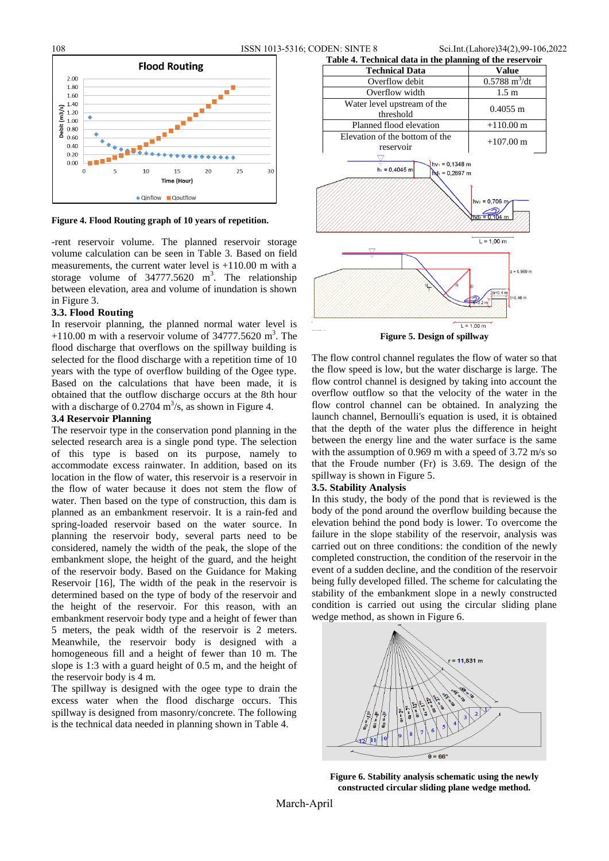108 ISSN 1013-5316; CODEN: SINTE 8 Sci.Int.(Lahore)34(2),99-106,2022



**Figure 4. Flood Routing graph of 10 years of repetition.**

-rent reservoir volume. The planned reservoir storage volume calculation can be seen in Table 3. Based on field measurements, the current water level is +110.00 m with a storage volume of  $34777.5620$  m<sup>3</sup>. The relationship between elevation, area and volume of inundation is shown in Figure 3.

### **3.3. Flood Routing**

In reservoir planning, the planned normal water level is  $+110.00$  m with a reservoir volume of 34777.5620 m<sup>3</sup>. The flood discharge that overflows on the spillway building is selected for the flood discharge with a repetition time of 10 years with the type of overflow building of the Ogee type. Based on the calculations that have been made, it is obtained that the outflow discharge occurs at the 8th hour with a discharge of  $0.2704 \text{ m}^3/\text{s}$ , as shown in Figure 4.

## **3.4 Reservoir Planning**

The reservoir type in the conservation pond planning in the selected research area is a single pond type. The selection of this type is based on its purpose, namely to accommodate excess rainwater. In addition, based on its location in the flow of water, this reservoir is a reservoir in the flow of water because it does not stem the flow of water. Then based on the type of construction, this dam is planned as an embankment reservoir. It is a rain-fed and spring-loaded reservoir based on the water source. In planning the reservoir body, several parts need to be considered, namely the width of the peak, the slope of the embankment slope, the height of the guard, and the height of the reservoir body. Based on the Guidance for Making Reservoir [16], The width of the peak in the reservoir is determined based on the type of body of the reservoir and the height of the reservoir. For this reason, with an embankment reservoir body type and a height of fewer than 5 meters, the peak width of the reservoir is 2 meters. Meanwhile, the reservoir body is designed with a homogeneous fill and a height of fewer than 10 m. The slope is 1:3 with a guard height of 0.5 m, and the height of the reservoir body is 4 m.

The spillway is designed with the ogee type to drain the excess water when the flood discharge occurs. This spillway is designed from masonry/concrete. The following is the technical data needed in planning shown in Table 4.



The flow control channel regulates the flow of water so that the flow speed is low, but the water discharge is large. The flow control channel is designed by taking into account the overflow outflow so that the velocity of the water in the flow control channel can be obtained. In analyzing the launch channel, Bernoulli's equation is used, it is obtained that the depth of the water plus the difference in height between the energy line and the water surface is the same with the assumption of 0.969 m with a speed of 3.72 m/s so that the Froude number (Fr) is 3.69. The design of the spillway is shown in Figure 5.

### **3.5. Stability Analysis**

In this study, the body of the pond that is reviewed is the body of the pond around the overflow building because the elevation behind the pond body is lower. To overcome the failure in the slope stability of the reservoir, analysis was carried out on three conditions: the condition of the newly completed construction, the condition of the reservoir in the event of a sudden decline, and the condition of the reservoir being fully developed filled. The scheme for calculating the stability of the embankment slope in a newly constructed condition is carried out using the circular sliding plane wedge method, as shown in Figure 6.



**Figure 6. Stability analysis schematic using the newly constructed circular sliding plane wedge method.**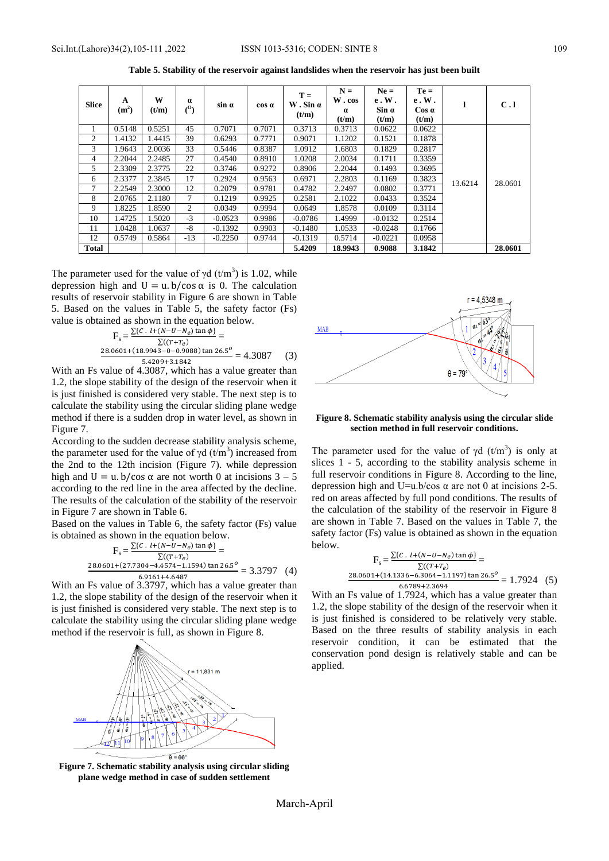| <b>Slice</b>   | A<br>(m <sup>2</sup> ) | W<br>(t/m) | $\alpha$<br>$^{(0)}$ | $sin \alpha$ | cos a  | $T =$<br>$W.$ Sin $\alpha$<br>(t/m) | $N =$<br>W.cos<br>$\alpha$<br>(t/m) | $Ne =$<br>e.W.<br>$\sin \alpha$<br>(t/m) | $Te =$<br>e.W.<br>$\cos \alpha$<br>(t/m) |         | C.1     |
|----------------|------------------------|------------|----------------------|--------------|--------|-------------------------------------|-------------------------------------|------------------------------------------|------------------------------------------|---------|---------|
|                | 0.5148                 | 0.5251     | 45                   | 0.7071       | 0.7071 | 0.3713                              | 0.3713                              | 0.0622                                   | 0.0622                                   |         |         |
| $\overline{2}$ | 1.4132                 | 1.4415     | 39                   | 0.6293       | 0.7771 | 0.9071                              | 1.1202                              | 0.1521                                   | 0.1878                                   |         | 28.0601 |
| 3              | 1.9643                 | 2.0036     | 33                   | 0.5446       | 0.8387 | 1.0912                              | 1.6803                              | 0.1829                                   | 0.2817                                   |         |         |
| 4              | 2.2044                 | 2.2485     | 27                   | 0.4540       | 0.8910 | 1.0208                              | 2.0034                              | 0.1711                                   | 0.3359                                   |         |         |
| 5              | 2.3309                 | 2.3775     | 22                   | 0.3746       | 0.9272 | 0.8906                              | 2.2044                              | 0.1493                                   | 0.3695                                   |         |         |
| 6              | 2.3377                 | 2.3845     | 17                   | 0.2924       | 0.9563 | 0.6971                              | 2.2803                              | 0.1169                                   | 0.3823                                   | 13.6214 |         |
| 7              | 2.2549                 | 2.3000     | 12                   | 0.2079       | 0.9781 | 0.4782                              | 2.2497                              | 0.0802                                   | 0.3771                                   |         |         |
| 8              | 2.0765                 | 2.1180     | 7                    | 0.1219       | 0.9925 | 0.2581                              | 2.1022                              | 0.0433                                   | 0.3524                                   |         |         |
| 9              | 1.8225                 | 1.8590     | 2                    | 0.0349       | 0.9994 | 0.0649                              | 1.8578                              | 0.0109                                   | 0.3114                                   |         |         |
| 10             | 1.4725                 | 1.5020     | $-3$                 | $-0.0523$    | 0.9986 | $-0.0786$                           | 1.4999                              | $-0.0132$                                | 0.2514                                   |         |         |
| 11             | 1.0428                 | 1.0637     | -8                   | $-0.1392$    | 0.9903 | $-0.1480$                           | 1.0533                              | $-0.0248$                                | 0.1766                                   |         |         |
| 12             | 0.5749                 | 0.5864     | $-13$                | $-0.2250$    | 0.9744 | $-0.1319$                           | 0.5714                              | $-0.0221$                                | 0.0958                                   |         |         |
| Total          |                        |            |                      |              |        | 5.4209                              | 18.9943                             | 0.9088                                   | 3.1842                                   |         | 28.0601 |

**Table 5. Stability of the reservoir against landslides when the reservoir has just been built**

The parameter used for the value of  $\gamma d$  (t/m<sup>3</sup>) is 1.02, while depression high and  $U = u.b/cos \alpha$  is 0. The calculation results of reservoir stability in Figure 6 are shown in Table 5. Based on the values in Table 5, the safety factor (Fs) value is obtained as shown in the equation below.

$$
F_s = \frac{\sum \{c \cdot l + (N - U - N_e) \tan \phi\}}{\sum (T + T_e)} =
$$
  

$$
\frac{28.0601 + (18.9943 - 0 - 0.9088) \tan 26.5^o}{5.4209 + 3.1842} = 4.3087
$$
 (3)

With an Fs value of 4.3087, which has a value greater than 1.2, the slope stability of the design of the reservoir when it is just finished is considered very stable. The next step is to calculate the stability using the circular sliding plane wedge method if there is a sudden drop in water level, as shown in Figure 7.

According to the sudden decrease stability analysis scheme, the parameter used for the value of  $\gamma d$  (t/m<sup>3</sup>) increased from the 2nd to the 12th incision (Figure 7). while depression high and  $U = u$ . b/cos  $\alpha$  are not worth 0 at incisions  $3 - 5$ according to the red line in the area affected by the decline. The results of the calculation of the stability of the reservoir in Figure 7 are shown in Table 6.

Based on the values in Table 6, the safety factor (Fs) value is obtained as shown in the equation below.

$$
F_s = \frac{\sum \{c \cdot l + (N - U - N_e) \tan \phi\}}{\sum ((T + T_e)} =
$$
  

$$
\frac{28.0601 + (27.7304 - 4.4574 - 1.1594) \tan 26.5^o}{6.9161 + 4.6487} = 3.3797 (4)
$$

With an Fs value of 3.3797, which has a value greater than 1.2, the slope stability of the design of the reservoir when it is just finished is considered very stable. The next step is to calculate the stability using the circular sliding plane wedge method if the reservoir is full, as shown in Figure 8.



 $r = 4$  5348 m **MAR**  $A = 79$ 

## **Figure 8. Schematic stability analysis using the circular slide section method in full reservoir conditions.**

The parameter used for the value of  $\gamma d$  (t/m<sup>3</sup>) is only at slices 1 - 5, according to the stability analysis scheme in full reservoir conditions in Figure 8. According to the line, depression high and U=u.b/cos  $\alpha$  are not 0 at incisions 2-5. red on areas affected by full pond conditions. The results of the calculation of the stability of the reservoir in Figure 8 are shown in Table 7. Based on the values in Table 7, the safety factor (Fs) value is obtained as shown in the equation below.

$$
F_s = \frac{\sum \{C \cdot l + (N - U - N_e) \tan \phi\}}{\sum ((T + T_e)}
$$
  

$$
\frac{28.0601 + (14.1336 - 6.3064 - 1.1197) \tan 26.5^o}{6.6789 + 2.3694} = 1.7924
$$
 (5)

 $6.6789+2.3694$ <br>With an Fs value of 1.7924, which has a value greater than 1.2, the slope stability of the design of the reservoir when it is just finished is considered to be relatively very stable. Based on the three results of stability analysis in each reservoir condition, it can be estimated that the conservation pond design is relatively stable and can be applied.

**Figure 7. Schematic stability analysis using circular sliding plane wedge method in case of sudden settlement**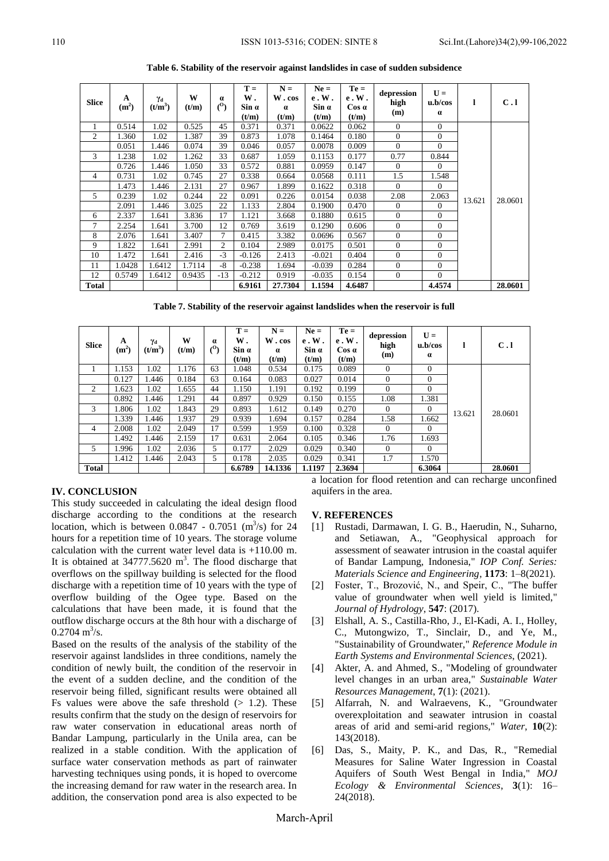| <b>Slice</b> | A<br>(m <sup>2</sup> ) | Yα<br>(t/m <sup>3</sup> ) | W<br>(t/m) | $\bf{a}$<br>(0) | $T =$<br>W.<br>Sin α<br>(t/m) | $N =$<br>W.cos<br>$\alpha$<br>(t/m) | $Ne =$<br>e.W.<br>Sin a<br>(t/m) | $Te =$<br>e. W.<br>$\cos \alpha$<br>(t/m) | depression<br>high<br>(m) | $U =$<br>u.b/cos<br>$\alpha$ | 1      | C.1     |
|--------------|------------------------|---------------------------|------------|-----------------|-------------------------------|-------------------------------------|----------------------------------|-------------------------------------------|---------------------------|------------------------------|--------|---------|
| 1            | 0.514                  | 1.02                      | 0.525      | 45              | 0.371                         | 0.371                               | 0.0622                           | 0.062                                     | $\Omega$                  | $\Omega$                     |        |         |
| 2            | 1.360                  | 1.02                      | 1.387      | 39              | 0.873                         | 1.078                               | 0.1464                           | 0.180                                     | $\Omega$                  | $\Omega$                     |        |         |
|              | 0.051                  | 1.446                     | 0.074      | 39              | 0.046                         | 0.057                               | 0.0078                           | 0.009                                     | $\Omega$                  | $\mathbf{0}$                 |        |         |
| 3            | 1.238                  | 1.02                      | 1.262      | 33              | 0.687                         | 1.059                               | 0.1153                           | 0.177                                     | 0.77                      | 0.844                        |        |         |
|              | 0.726                  | 1.446                     | 1.050      | 33              | 0.572                         | 0.881                               | 0.0959                           | 0.147                                     | $\Omega$                  | $\Omega$                     |        |         |
| 4            | 0.731                  | 1.02                      | 0.745      | 27              | 0.338                         | 0.664                               | 0.0568                           | 0.111                                     | 1.5                       | 1.548                        |        |         |
|              | 1.473                  | 1.446                     | 2.131      | 27              | 0.967                         | 1.899                               | 0.1622                           | 0.318                                     | $\Omega$                  | $\Omega$                     |        |         |
| 5            | 0.239                  | 1.02                      | 0.244      | 22              | 0.091                         | 0.226                               | 0.0154                           | 0.038                                     | 2.08                      | 2.063                        | 13.621 | 28.0601 |
|              | 2.091                  | 1.446                     | 3.025      | 22              | 1.133                         | 2.804                               | 0.1900                           | 0.470                                     | $\overline{0}$            | $\mathbf{0}$                 |        |         |
| 6            | 2.337                  | 1.641                     | 3.836      | 17              | 1.121                         | 3.668                               | 0.1880                           | 0.615                                     | $\Omega$                  | $\Omega$                     |        |         |
| 7            | 2.254                  | 1.641                     | 3.700      | 12              | 0.769                         | 3.619                               | 0.1290                           | 0.606                                     | $\overline{0}$            | $\mathbf{0}$                 |        |         |
| 8            | 2.076                  | 1.641                     | 3.407      | 7               | 0.415                         | 3.382                               | 0.0696                           | 0.567                                     | $\overline{0}$            | $\overline{0}$               |        |         |
| 9            | 1.822                  | 1.641                     | 2.991      | $\overline{2}$  | 0.104                         | 2.989                               | 0.0175                           | 0.501                                     | $\Omega$                  | $\mathbf{0}$                 |        |         |
| 10           | 1.472                  | 1.641                     | 2.416      | $-3$            | $-0.126$                      | 2.413                               | $-0.021$                         | 0.404                                     | $\Omega$                  | $\Omega$                     |        |         |
| 11           | 1.0428                 | 1.6412                    | 1.7114     | $-8$            | $-0.238$                      | 1.694                               | $-0.039$                         | 0.284                                     | $\overline{0}$            | $\mathbf{0}$                 |        |         |
| 12           | 0.5749                 | 1.6412                    | 0.9435     | $-13$           | $-0.212$                      | 0.919                               | $-0.035$                         | 0.154                                     | $\Omega$                  | $\mathbf{0}$                 |        |         |
| <b>Total</b> |                        |                           |            |                 | 6.9161                        | 27.7304                             | 1.1594                           | 4.6487                                    |                           | 4.4574                       |        | 28.0601 |

**Table 6. Stability of the reservoir against landslides in case of sudden subsidence**

**Table 7. Stability of the reservoir against landslides when the reservoir is full**

| <b>Slice</b> | A<br>(m <sup>2</sup> ) | $\gamma_{\rm d}$<br>$(t/m^3)$ | W<br>(t/m) | $\alpha$<br>$\binom{0}{0}$ | $T =$<br>W.<br>$\sin \alpha$<br>(t/m) | $N =$<br>W.cos<br>$\alpha$<br>(t/m) | $Ne =$<br>e. W.<br>$Sin \alpha$<br>(t/m) | $Te =$<br>e.W.<br>Cos a<br>(t/m) | depression<br>high<br>(m) | $U =$<br>u.b/cos<br>$\alpha$ |        | C.1     |  |
|--------------|------------------------|-------------------------------|------------|----------------------------|---------------------------------------|-------------------------------------|------------------------------------------|----------------------------------|---------------------------|------------------------------|--------|---------|--|
|              | 1.153                  | 1.02                          | 1.176      | 63                         | 1.048                                 | 0.534                               | 0.175                                    | 0.089                            | $\Omega$                  | $\theta$                     |        |         |  |
|              | 0.127                  | 1.446                         | 0.184      | 63                         | 0.164                                 | 0.083                               | 0.027                                    | 0.014                            | $\Omega$                  | $\Omega$                     |        |         |  |
| 2            | 1.623                  | 1.02                          | 1.655      | 44                         | 1.150                                 | 1.191                               | 0.192                                    | 0.199                            | $\Omega$                  | $\Omega$                     | 13.621 |         |  |
|              | 0.892                  | 1.446                         | 1.291      | 44                         | 0.897                                 | 0.929                               | 0.150                                    | 0.155                            | 1.08                      | 1.381                        |        |         |  |
| 3            | 1.806                  | 1.02                          | 1.843      | 29                         | 0.893                                 | 1.612                               | 0.149                                    | 0.270                            | $\theta$                  | $\overline{0}$               |        | 28.0601 |  |
|              | 1.339                  | 1.446                         | 1.937      | 29                         | 0.939                                 | 1.694                               | 0.157                                    | 0.284                            | 1.58                      | 1.662                        |        |         |  |
| 4            | 2.008                  | 1.02                          | 2.049      | 17                         | 0.599                                 | 1.959                               | 0.100                                    | 0.328                            | $\theta$                  | $\overline{0}$               |        |         |  |
|              | 1.492                  | 1.446                         | 2.159      | 17                         | 0.631                                 | 2.064                               | 0.105                                    | 0.346                            | 1.76                      | 1.693                        |        |         |  |
| 5            | 1.996                  | 1.02                          | 2.036      | 5                          | 0.177                                 | 2.029                               | 0.029                                    | 0.340                            | $\theta$                  | $\overline{0}$               |        |         |  |
|              | 1.412                  | 1.446                         | 2.043      | 5                          | 0.178                                 | 2.035                               | 0.029                                    | 0.341                            | 1.7                       | 1.570                        |        |         |  |
| <b>Total</b> |                        |                               |            |                            | 6.6789                                | 14.1336                             | 1.1197                                   | 2.3694                           |                           | 6.3064                       |        | 28.0601 |  |

## **IV. CONCLUSION**

This study succeeded in calculating the ideal design flood discharge according to the conditions at the research location, which is between  $0.0847 - 0.7051$  (m<sup>3</sup>/s) for 24 hours for a repetition time of 10 years. The storage volume calculation with the current water level data is +110.00 m. It is obtained at  $34777.5620$  m<sup>3</sup>. The flood discharge that overflows on the spillway building is selected for the flood discharge with a repetition time of 10 years with the type of overflow building of the Ogee type. Based on the calculations that have been made, it is found that the outflow discharge occurs at the 8th hour with a discharge of  $0.2704 \text{ m}^3\text{/s}.$ 

Based on the results of the analysis of the stability of the reservoir against landslides in three conditions, namely the condition of newly built, the condition of the reservoir in the event of a sudden decline, and the condition of the reservoir being filled, significant results were obtained all Fs values were above the safe threshold  $(> 1.2)$ . These results confirm that the study on the design of reservoirs for raw water conservation in educational areas north of Bandar Lampung, particularly in the Unila area, can be realized in a stable condition. With the application of surface water conservation methods as part of rainwater harvesting techniques using ponds, it is hoped to overcome the increasing demand for raw water in the research area. In addition, the conservation pond area is also expected to be a location for flood retention and can recharge unconfined aquifers in the area.

## **V. REFERENCES**

- [1] Rustadi, Darmawan, I. G. B., Haerudin, N., Suharno, and Setiawan, A., "Geophysical approach for assessment of seawater intrusion in the coastal aquifer of Bandar Lampung, Indonesia," *IOP Conf. Series: Materials Science and Engineering*, **1173**: 1–8(2021).
- [2] Foster, T., Brozović, N., and Speir, C., "The buffer value of groundwater when well yield is limited," *Journal of Hydrology*, **547**: (2017).
- [3] Elshall, A. S., Castilla-Rho, J., El-Kadi, A. I., Holley, C., Mutongwizo, T., Sinclair, D., and Ye, M., "Sustainability of Groundwater," *Reference Module in Earth Systems and Environmental Sciences*, (2021).
- [4] Akter, A. and Ahmed, S., "Modeling of groundwater level changes in an urban area," *Sustainable Water Resources Management*, **7**(1): (2021).
- [5] Alfarrah, N. and Walraevens, K., "Groundwater overexploitation and seawater intrusion in coastal areas of arid and semi-arid regions," *Water*, **10**(2): 143(2018).
- [6] Das, S., Maity, P. K., and Das, R., "Remedial Measures for Saline Water Ingression in Coastal Aquifers of South West Bengal in India," *MOJ Ecology & Environmental Sciences*, **3**(1): 16– 24(2018).